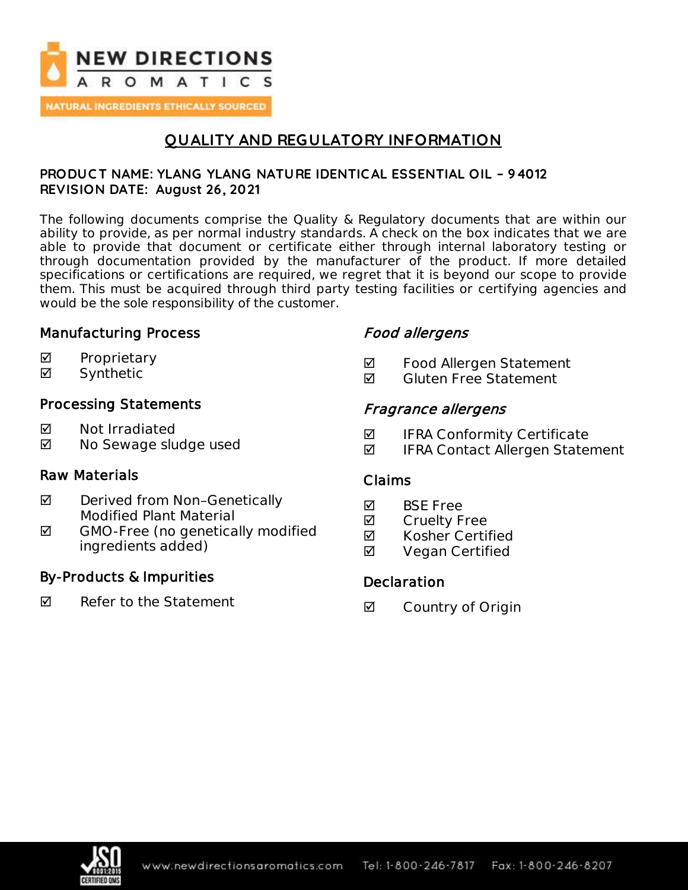

NATURAL INGREDIENTS ETHICALLY SOURCED

# **QUALITY AND REGULATORY INFORMATION**

### **PRODUC T NAME: YLANG YLANG NATURE IDENTIC AL ESSENTIAL OIL – 94012 REVISION DATE: August 26, 2021**

The following documents comprise the Quality & Regulatory documents that are within our ability to provide, as per normal industry standards. A check on the box indicates that we are able to provide that document or certificate either through internal laboratory testing or through documentation provided by the manufacturer of the product. If more detailed specifications or certifications are required, we regret that it is beyond our scope to provide them. This must be acquired through third party testing facilities or certifying agencies and would be the sole responsibility of the customer.

## Manufacturing Process

- $\boxtimes$  Proprietary
- Synthetic

## Processing Statements

- **M** Not Irradiated
- **Ø** No Sewage sludge used

## Raw Materials

- **Ø** Derived from Non-Genetically Modified Plant Material
- ◘ GMO-Free (no genetically modified ingredients added)

## By-Products & Impurities

 $\nabla$  Refer to the Statement

## Food allergens

- **Ø** Food Allergen Statement
- $\blacksquare$  Gluten Free Statement

## Fragrance allergens

- $\blacksquare$  IFRA Conformity Certificate
- $\blacksquare$  IFRA Contact Allergen Statement

## Claims

- **Ø** BSE Free
- **M** Cruelty Free
- **Ø** Kosher Certified
- **Ø** Vegan Certified

## **Declaration**

**Ø** Country of Origin

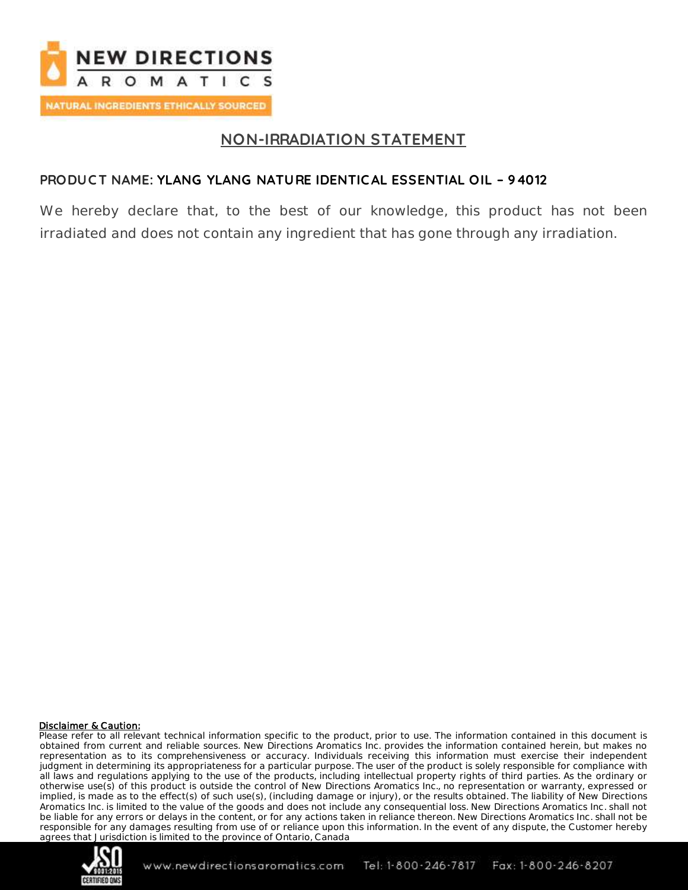

# **NON-IRRADIATION STATEMENT**

## **PRODUC T NAME: YLANG YLANG NATURE IDENTIC AL ESSENTIAL OIL – 94012**

We hereby declare that, to the best of our knowledge, this product has not been irradiated and does not contain any ingredient that has gone through any irradiation.

#### Disclaimer & Caution:

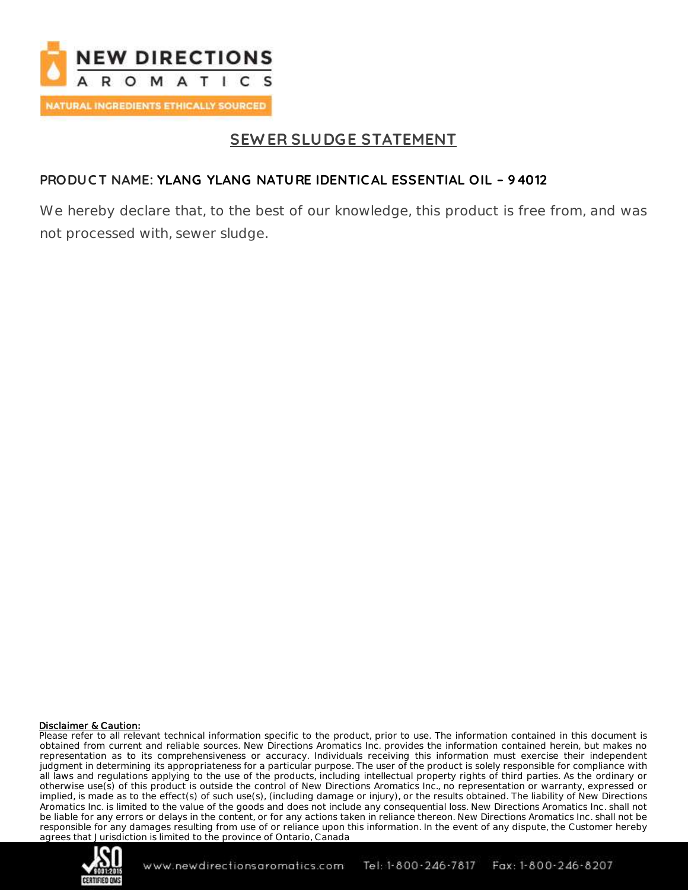

# **SEW ER SLUDGE STATEMENT**

## **PRODUC T NAME: YLANG YLANG NATURE IDENTIC AL ESSENTIAL OIL – 94012**

We hereby declare that, to the best of our knowledge, this product is free from, and was not processed with, sewer sludge.

#### Disclaimer & Caution:

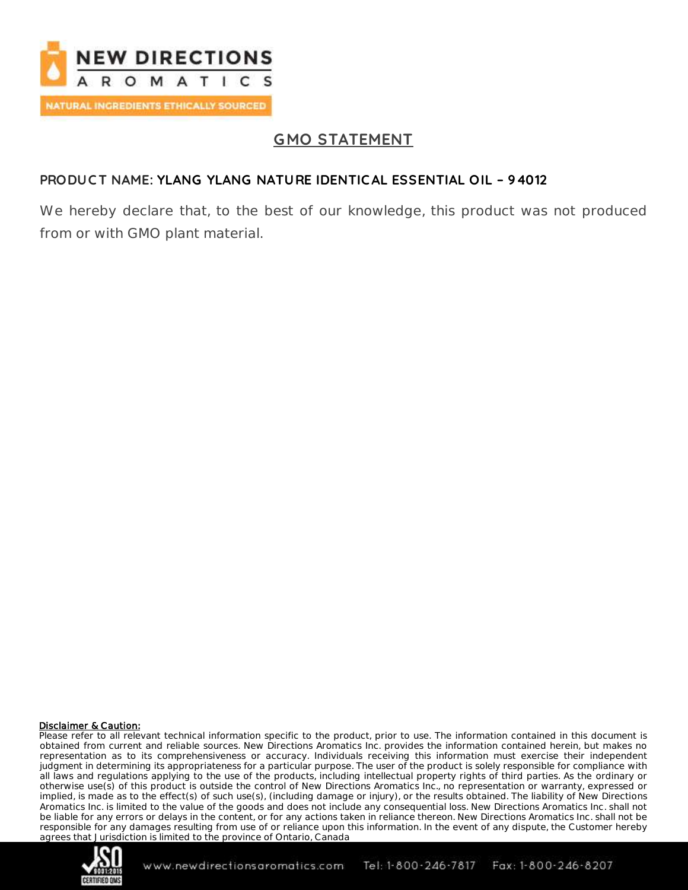

# **GMO STATEMENT**

## **PRODUC T NAME: YLANG YLANG NATURE IDENTIC AL ESSENTIAL OIL – 94012**

We hereby declare that, to the best of our knowledge, this product was not produced from or with GMO plant material.

#### Disclaimer & Caution:

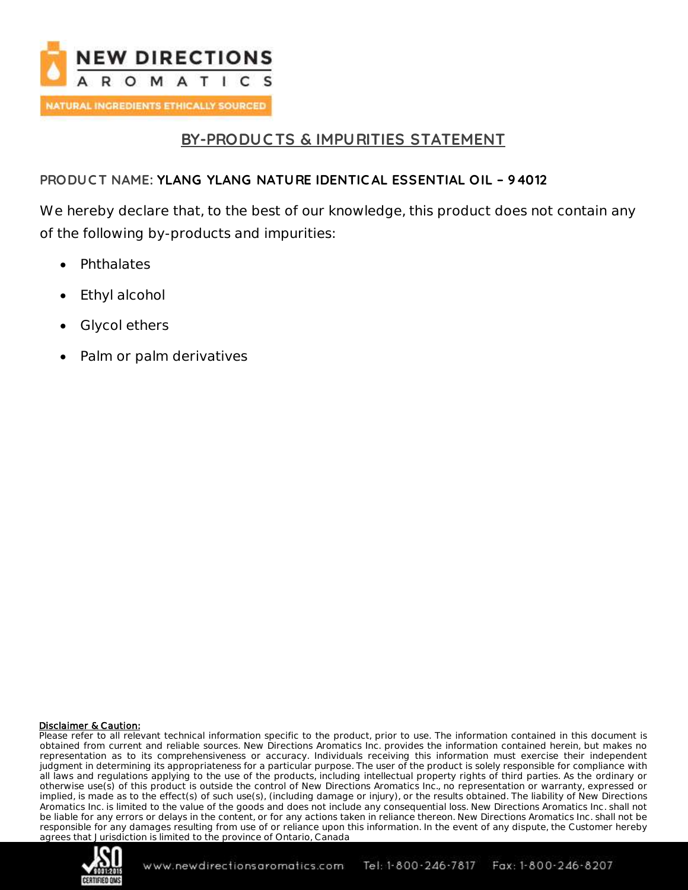

## **BY-PRODUC TS & IMPURITIES STATEMENT**

## **PRODUC T NAME: YLANG YLANG NATURE IDENTIC AL ESSENTIAL OIL – 94012**

We hereby declare that, to the best of our knowledge, this product does not contain any of the following by-products and impurities:

- Phthalates
- Ethyl alcohol
- Glycol ethers
- Palm or palm derivatives

#### Disclaimer & Caution:

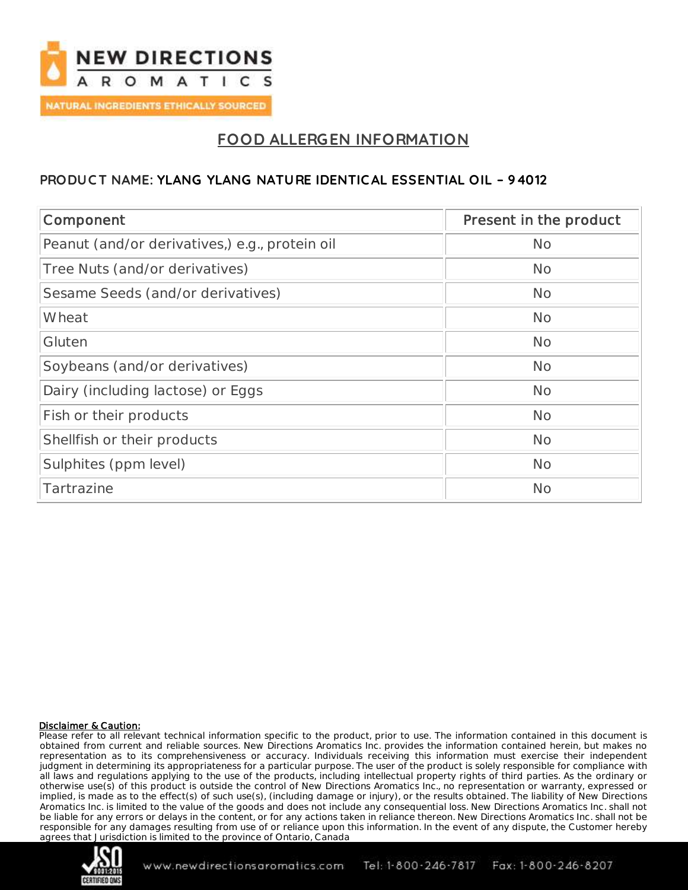

# **FOOD ALLERGEN INFORMATION**

## **PRODUC T NAME: YLANG YLANG NATURE IDENTIC AL ESSENTIAL OIL – 94012**

| Component                                      | Present in the product |
|------------------------------------------------|------------------------|
| Peanut (and/or derivatives,) e.g., protein oil | No                     |
| Tree Nuts (and/or derivatives)                 | <b>No</b>              |
| Sesame Seeds (and/or derivatives)              | <b>No</b>              |
| Wheat                                          | No                     |
| Gluten                                         | <b>No</b>              |
| Soybeans (and/or derivatives)                  | <b>No</b>              |
| Dairy (including lactose) or Eggs              | <b>No</b>              |
| Fish or their products                         | <b>No</b>              |
| Shellfish or their products                    | No                     |
| Sulphites (ppm level)                          | <b>No</b>              |
| Tartrazine                                     | No                     |

#### Disclaimer & Caution:

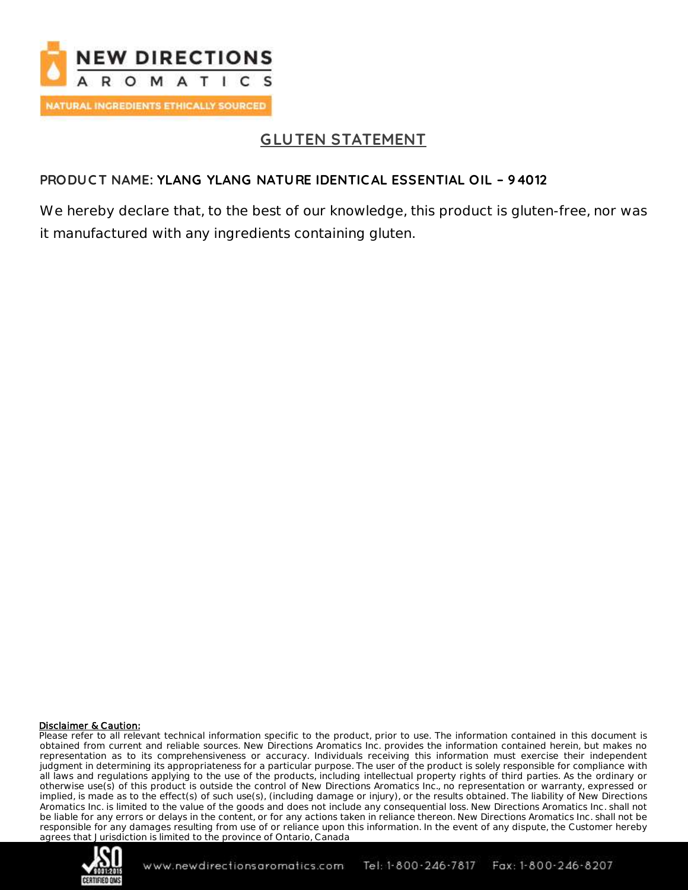

# **GLUTEN STATEMENT**

## **PRODUC T NAME: YLANG YLANG NATURE IDENTIC AL ESSENTIAL OIL – 94012**

We hereby declare that, to the best of our knowledge, this product is gluten-free, nor was it manufactured with any ingredients containing gluten.

#### Disclaimer & Caution:

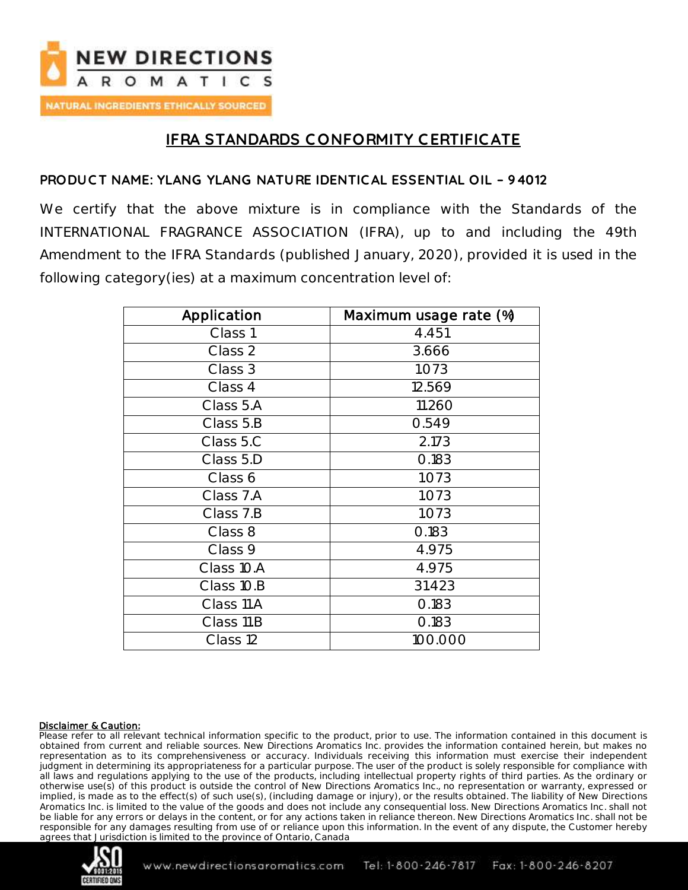

## **IFRA STANDARDS C ONFORMITY CERTIFIC ATE**

## **PRODUC T NAME: YLANG YLANG NATURE IDENTIC AL ESSENTIAL OIL – 94012**

We certify that the above mixture is in compliance with the Standards of the INTERNATIONAL FRAGRANCE ASSOCIATION (IFRA), up to and including the 49th Amendment to the IFRA Standards (published January, 2020), provided it is used in the following category(ies) at a maximum concentration level of:

| Application | Maximum usage rate (%) |
|-------------|------------------------|
| Class 1     | 4.451                  |
| Class 2     | 3.666                  |
| Class 3     | 1.073                  |
| Class 4     | 12.569                 |
| Class 5.A   | 11.260                 |
| Class 5.B   | 0.549                  |
| Class 5.C   | 2.173                  |
| Class 5.D   | 0.183                  |
| Class 6     | 1.073                  |
| Class 7.A   | 1.073                  |
| Class 7.B   | 1.073                  |
| Class 8     | 0.183                  |
| Class 9     | 4.975                  |
| Class 10.A  | 4.975                  |
| Class 10.B  | 31.423                 |
| Class 11.A  | 0.183                  |
| Class 11.B  | 0.183                  |
| Class 12    | 100.000                |

#### Disclaimer & Caution:

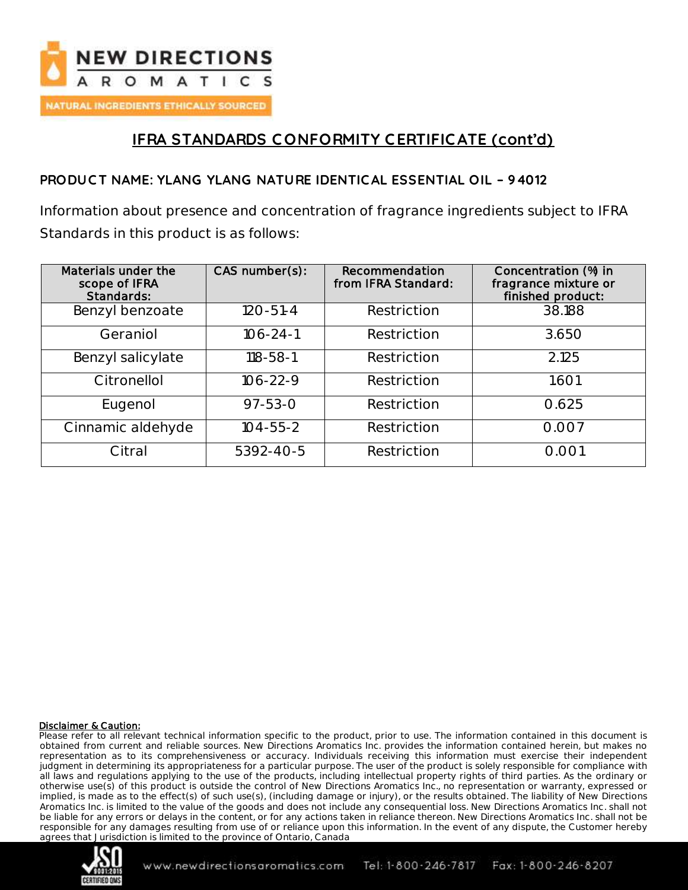

# **IFRA STANDARDS C ONFORMITY CERTIFIC ATE (cont'd)**

## **PRODUC T NAME: YLANG YLANG NATURE IDENTIC AL ESSENTIAL OIL – 94012**

Information about presence and concentration of fragrance ingredients subject to IFRA Standards in this product is as follows:

| Materials under the<br>scope of IFRA<br>Standards: | CAS number(s): | Recommendation<br>from IFRA Standard: | Concentration (%) in<br>fragrance mixture or<br>finished product: |
|----------------------------------------------------|----------------|---------------------------------------|-------------------------------------------------------------------|
| Benzyl benzoate                                    | $120 - 51 - 4$ | Restriction                           | 38.188                                                            |
| Geraniol                                           | $106 - 24 - 1$ | Restriction                           | 3.650                                                             |
| Benzyl salicylate                                  | $118 - 58 - 1$ | Restriction                           | 2.125                                                             |
| Citronellol                                        | $106 - 22 - 9$ | Restriction                           | 1.601                                                             |
| Eugenol                                            | $97 - 53 - 0$  | Restriction                           | 0.625                                                             |
| Cinnamic aldehyde                                  | $104 - 55 - 2$ | Restriction                           | 0.007                                                             |
| Citral                                             | 5392-40-5      | Restriction                           | 0.001                                                             |

#### Disclaimer & Caution:

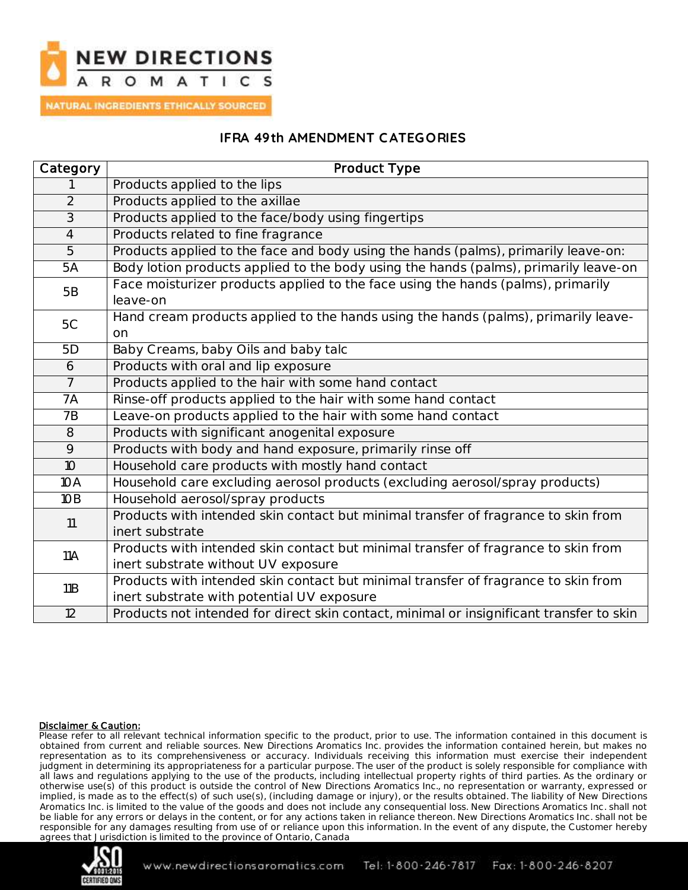

NATURAL INGREDIENTS ETHICALLY SOURCED

#### **IFRA 49th AMENDMENT C ATEGORIES**

| Category        | Product Type                                                                                                                     |  |
|-----------------|----------------------------------------------------------------------------------------------------------------------------------|--|
|                 | Products applied to the lips                                                                                                     |  |
| $\overline{2}$  | Products applied to the axillae                                                                                                  |  |
| $\overline{3}$  | Products applied to the face/body using fingertips                                                                               |  |
| $\overline{4}$  | Products related to fine fragrance                                                                                               |  |
| $\overline{5}$  | Products applied to the face and body using the hands (palms), primarily leave-on:                                               |  |
| 5A              | Body lotion products applied to the body using the hands (palms), primarily leave-on                                             |  |
| 5B              | Face moisturizer products applied to the face using the hands (palms), primarily<br>leave-on                                     |  |
| 5C              | Hand cream products applied to the hands using the hands (palms), primarily leave-<br>on                                         |  |
| 5D              | Baby Creams, baby Oils and baby talc                                                                                             |  |
| 6               | Products with oral and lip exposure                                                                                              |  |
| $\overline{7}$  | Products applied to the hair with some hand contact                                                                              |  |
| 7A              | Rinse-off products applied to the hair with some hand contact                                                                    |  |
| <b>7B</b>       | Leave-on products applied to the hair with some hand contact                                                                     |  |
| 8               | Products with significant anogenital exposure                                                                                    |  |
| $\overline{9}$  | Products with body and hand exposure, primarily rinse off                                                                        |  |
| 10 <sup>°</sup> | Household care products with mostly hand contact                                                                                 |  |
| 10A             | Household care excluding aerosol products (excluding aerosol/spray products)                                                     |  |
| 10B             | Household aerosol/spray products                                                                                                 |  |
| 11              | Products with intended skin contact but minimal transfer of fragrance to skin from<br>inert substrate                            |  |
| <b>11A</b>      | Products with intended skin contact but minimal transfer of fragrance to skin from<br>inert substrate without UV exposure        |  |
| 11B             | Products with intended skin contact but minimal transfer of fragrance to skin from<br>inert substrate with potential UV exposure |  |
| $\overline{12}$ | Products not intended for direct skin contact, minimal or insignificant transfer to skin                                         |  |

#### Disclaimer & Caution:

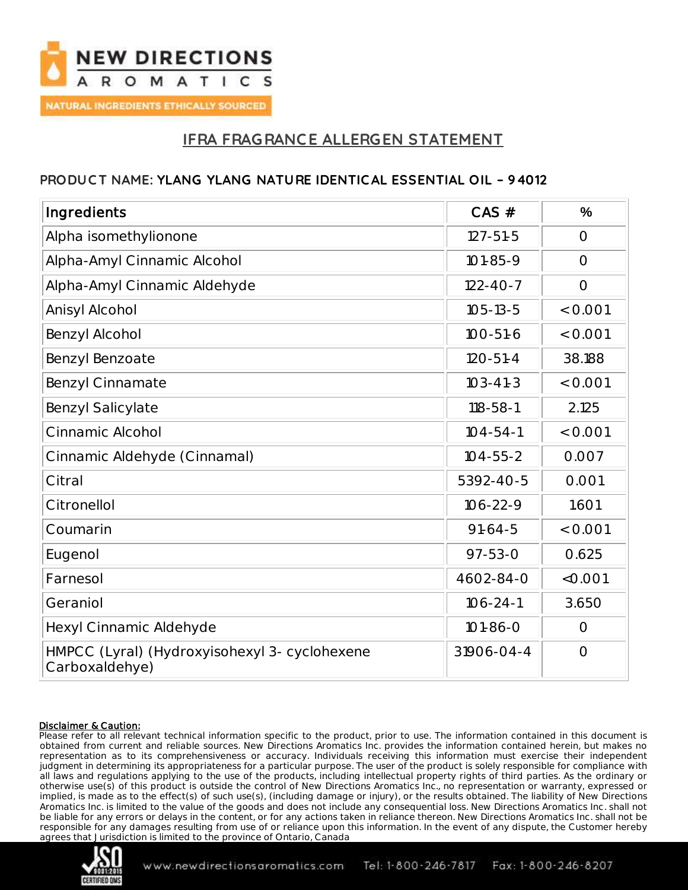

## **IFRA FRAGRANC E ALLERGEN STATEMENT**

### **PRODUC T NAME: YLANG YLANG NATURE IDENTIC AL ESSENTIAL OIL – 94012**

| Ingredients                                                     | $CAS$ #        | $\frac{0}{0}$ |
|-----------------------------------------------------------------|----------------|---------------|
| Alpha isomethylionone                                           | $127 - 51 - 5$ | $\bigcirc$    |
| Alpha-Amyl Cinnamic Alcohol                                     | $101 - 85 - 9$ | $\bigcirc$    |
| Alpha-Amyl Cinnamic Aldehyde                                    | $122 - 40 - 7$ | $\bigcirc$    |
| Anisyl Alcohol                                                  | $105 - 13 - 5$ | $<$ 0.001     |
| Benzyl Alcohol                                                  | $100 - 51 - 6$ | $<$ 0.001     |
| Benzyl Benzoate                                                 | $120 - 51 - 4$ | 38.188        |
| <b>Benzyl Cinnamate</b>                                         | $103 - 41 - 3$ | $<$ 0.001     |
| <b>Benzyl Salicylate</b>                                        | $118 - 58 - 1$ | 2.125         |
| Cinnamic Alcohol                                                | $104 - 54 - 1$ | $<$ 0.001     |
| Cinnamic Aldehyde (Cinnamal)                                    | $104 - 55 - 2$ | 0.007         |
| Citral                                                          | 5392-40-5      | 0.001         |
| Citronellol                                                     | $106 - 22 - 9$ | 1.601         |
| Coumarin                                                        | $91-64-5$      | $<$ 0.001     |
| Eugenol                                                         | $97 - 53 - 0$  | 0.625         |
| Farnesol                                                        | 4602-84-0      | < 0.001       |
| Geraniol                                                        | $106 - 24 - 1$ | 3.650         |
| Hexyl Cinnamic Aldehyde                                         | $101 - 86 - 0$ | $\bigcirc$    |
| HMPCC (Lyral) (Hydroxyisohexyl 3- cyclohexene<br>Carboxaldehye) | 31906-04-4     | $\bigcirc$    |

#### Disclaimer & Caution:

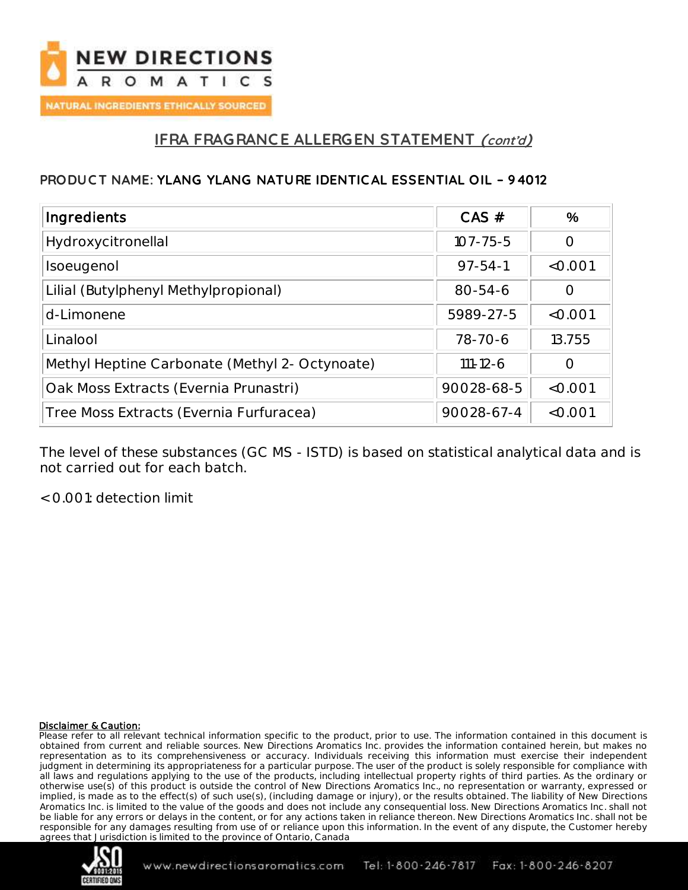

## **IFRA FRAGRANC E ALLERGEN STATEMENT (cont'd)**

### **PRODUC T NAME: YLANG YLANG NATURE IDENTIC AL ESSENTIAL OIL – 94012**

| Ingredients                                    | CAS #          | $\frac{9}{6}$ |
|------------------------------------------------|----------------|---------------|
| Hydroxycitronellal                             | $107 - 75 - 5$ |               |
| Isoeugenol                                     | $97 - 54 - 1$  | $<$ 0.001     |
| Lilial (Butylphenyl Methylpropional)           | $80 - 54 - 6$  |               |
| d-Limonene                                     | 5989-27-5      | < 0.001       |
| Linalool                                       | $78 - 70 - 6$  | 13.755        |
| Methyl Heptine Carbonate (Methyl 2- Octynoate) | $111 - 12 - 6$ |               |
| Oak Moss Extracts (Evernia Prunastri)          | 90028-68-5     | $<$ 0.001     |
| Tree Moss Extracts (Evernia Furfuracea)        | 90028-67-4     | $<$ 0.001     |

The level of these substances (GC MS - ISTD) is based on statistical analytical data and is not carried out for each batch.

< 0.001: detection limit

#### Disclaimer & Caution:

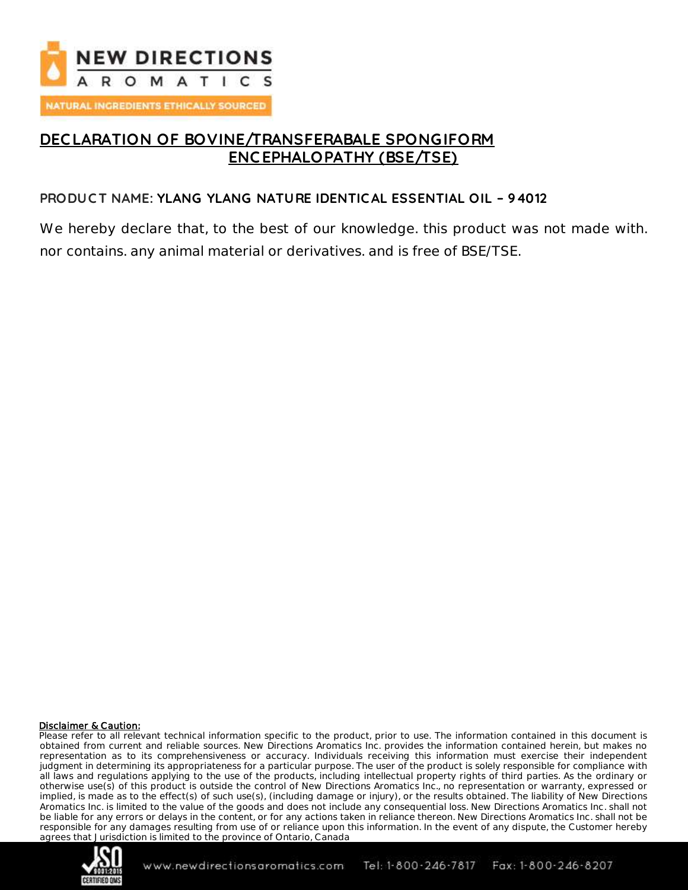

## **DEC LARATION OF BOVINE/TRANSFERABALE SPONGIFORM ENC EPHALOPATHY (BSE/TSE)**

### **PRODUC T NAME: YLANG YLANG NATURE IDENTIC AL ESSENTIAL OIL – 94012**

We hereby declare that, to the best of our knowledge. this product was not made with. nor contains. any animal material or derivatives. and is free of BSE/TSE.

#### Disclaimer & Caution:

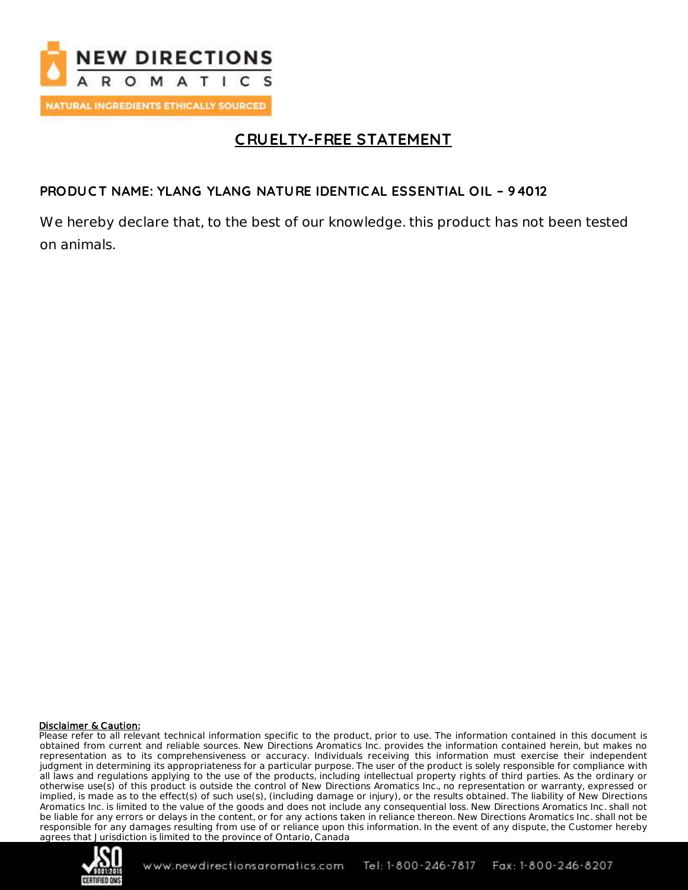

# **C RUELTY-FREE STATEMENT**

## **PRODUC T NAME: YLANG YLANG NATURE IDENTIC AL ESSENTIAL OIL – 94012**

We hereby declare that, to the best of our knowledge. this product has not been tested on animals.

#### Disclaimer & Caution:

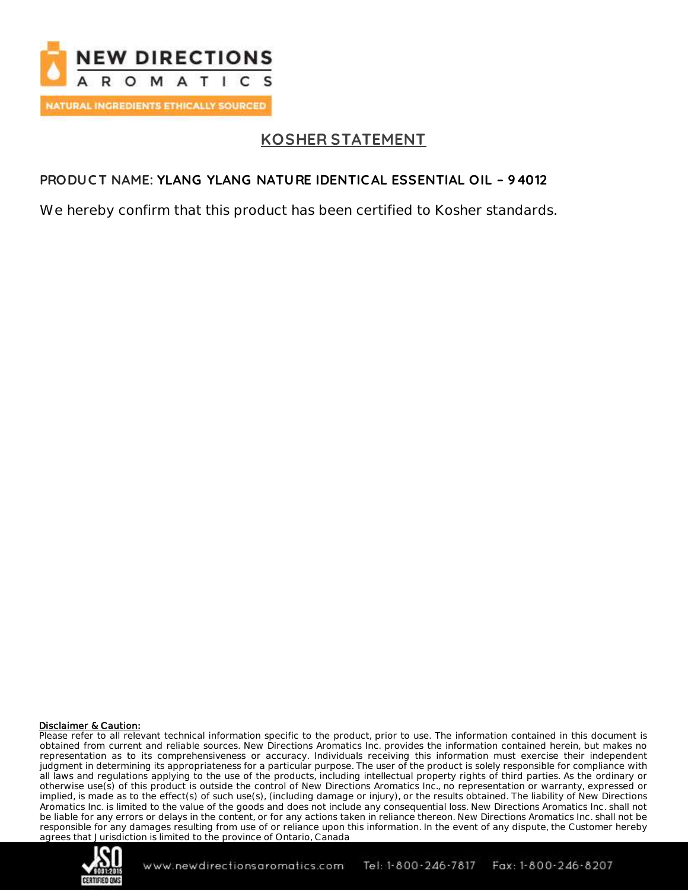

# **KOSHER STATEMENT**

## **PRODUC T NAME: YLANG YLANG NATURE IDENTIC AL ESSENTIAL OIL – 94012**

We hereby confirm that this product has been certified to Kosher standards.

#### Disclaimer & Caution:

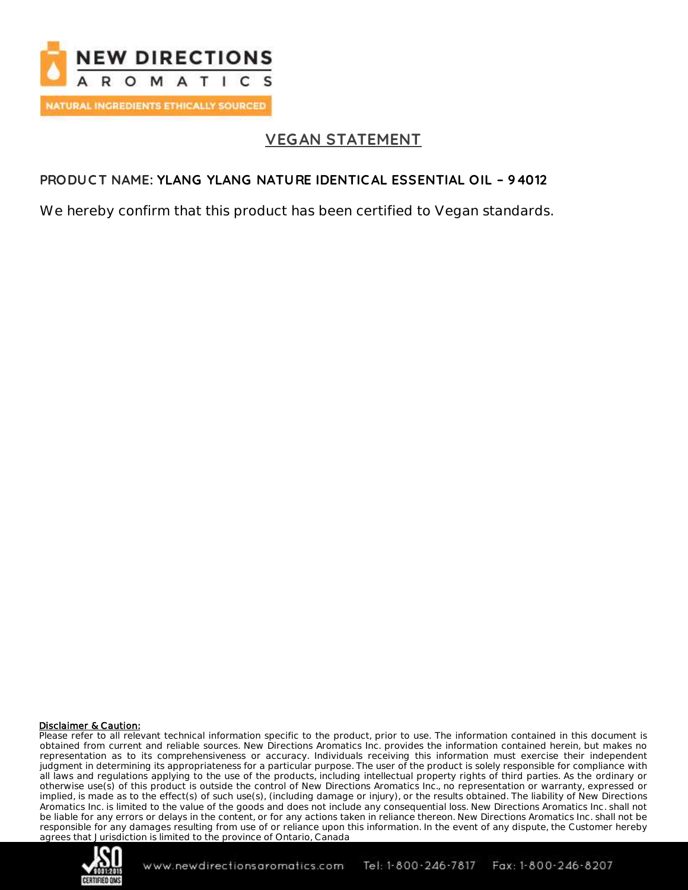

# **VEGAN STATEMENT**

## **PRODUC T NAME: YLANG YLANG NATURE IDENTIC AL ESSENTIAL OIL – 94012**

We hereby confirm that this product has been certified to Vegan standards.

#### Disclaimer & Caution: